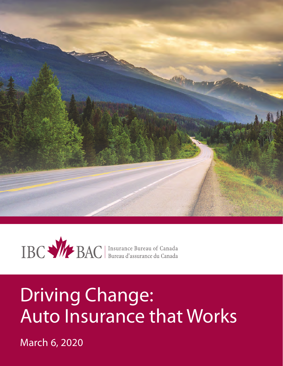



# Driving Change: Auto Insurance that Works

March 6, 2020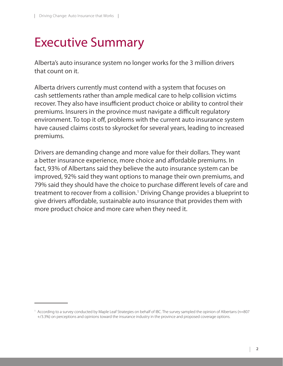## Executive Summary

Alberta's auto insurance system no longer works for the 3 million drivers that count on it.

Alberta drivers currently must contend with a system that focuses on cash settlements rather than ample medical care to help collision victims recover. They also have insufficient product choice or ability to control their premiums. Insurers in the province must navigate a difficult regulatory environment. To top it off, problems with the current auto insurance system have caused claims costs to skyrocket for several years, leading to increased premiums.

Drivers are demanding change and more value for their dollars. They want a better insurance experience, more choice and affordable premiums. In fact, 93% of Albertans said they believe the auto insurance system can be improved, 92% said they want options to manage their own premiums, and 79% said they should have the choice to purchase different levels of care and treatment to recover from a collision.<sup>1</sup> Driving Change provides a blueprint to give drivers affordable, sustainable auto insurance that provides them with more product choice and more care when they need it.

<sup>&</sup>lt;sup>1</sup> According to a survey conducted by Maple Leaf Strategies on behalf of IBC. The survey sampled the opinion of Albertans (n=807 +/3.3%) on perceptions and opinions toward the insurance industry in the province and proposed coverage options.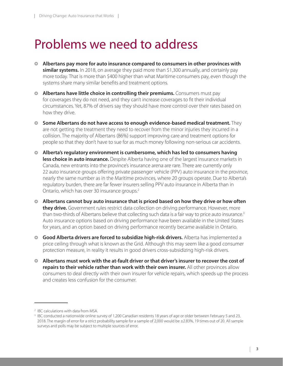## Problems we need to address

- **Albertans pay more for auto insurance compared to consumers in other provinces with similar systems.** In 2018, on average they paid more than \$1,300 annually, and certainly pay more today. That is more than \$400 higher than what Maritime consumers pay, even though the systems share many similar benefits and treatment options.
- **<sup>O</sup>** Albertans have little choice in controlling their premiums. Consumers must pay for coverages they do not need, and they can't increase coverages to fit their individual circumstances. Yet, 87% of drivers say they should have more control over their rates based on how they drive.
- **Some Albertans do not have access to enough evidence-based medical treatment.** They are not getting the treatment they need to recover from the minor injuries they incurred in a collision. The majority of Albertans (86%) support improving care and treatment options for people so that they don't have to sue for as much money following non-serious car accidents.
- **Alberta's regulatory environment is cumbersome, which has led to consumers having less choice in auto insurance.** Despite Alberta having one of the largest insurance markets in Canada, new entrants into the province's insurance arena are rare. There are currently only 22 auto insurance groups offering private passenger vehicle (PPV) auto insurance in the province, nearly the same number as in the Maritime provinces, where 20 groups operate. Due to Alberta's regulatory burden, there are far fewer insurers selling PPV auto insurance in Alberta than in Ontario, which has over 30 insurance groups.2
- **Albertans cannot buy auto insurance that is priced based on how they drive or how often they drive.** Government rules restrict data collection on driving performance. However, more than two-thirds of Albertans believe that collecting such data is a fair way to price auto insurance.<sup>3</sup> Auto insurance options based on driving performance have been available in the United States for years, and an option based on driving performance recently became available in Ontario.
- **Good Alberta drivers are forced to subsidize high-risk drivers.** Alberta has implemented a price ceiling through what is known as the Grid. Although this may seem like a good consumer protection measure, in reality it results in good drivers cross-subsidizing high-risk drivers.
- **Albertans must work with the at-fault driver or that driver's insurer to recover the cost of repairs to their vehicle rather than work with their own insurer.** All other provinces allow consumers to deal directly with their own insurer for vehicle repairs, which speeds up the process and creates less confusion for the consumer.

<sup>2</sup> IBC calculations with data from MSA.

<sup>&</sup>lt;sup>3</sup> IBC conducted a nationwide online survey of 1,200 Canadian residents 18 years of age or older between February 5 and 23, 2018. The margin of error for a strict probability sample for a sample of 2,000 would be ±2.83%, 19 times out of 20. All sample surveys and polls may be subject to multiple sources of error.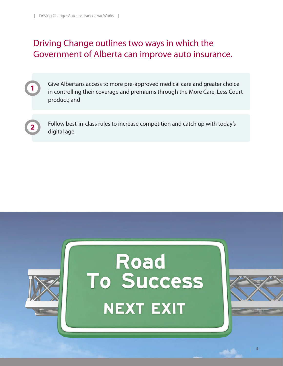**1**

**2**

## Driving Change outlines two ways in which the Government of Alberta can improve auto insurance.

 Give Albertans access to more pre-approved medical care and greater choice in controlling their coverage and premiums through the More Care, Less Court product; and

 Follow best-in-class rules to increase competition and catch up with today's digital age.

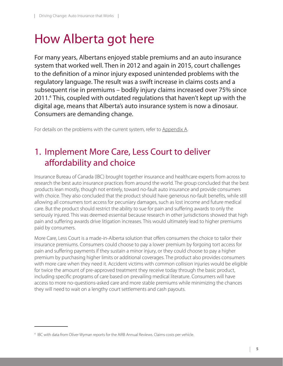## How Alberta got here

For many years, Albertans enjoyed stable premiums and an auto insurance system that worked well. Then in 2012 and again in 2015, court challenges to the definition of a minor injury exposed unintended problems with the regulatory language. The result was a swift increase in claims costs and a subsequent rise in premiums – bodily injury claims increased over 75% since 2011.4 This, coupled with outdated regulations that haven't kept up with the digital age, means that Alberta's auto insurance system is now a dinosaur. Consumers are demanding change.

For details on the problems with the current system, refer to [Appendix A.](#page-9-0)

## 1. Implement More Care, Less Court to deliver affordability and choice

Insurance Bureau of Canada (IBC) brought together insurance and healthcare experts from across to research the best auto insurance practices from around the world. The group concluded that the best products lean mostly, though not entirely, toward no-fault auto insurance and provide consumers with choice. They also concluded that the product should have generous no-fault benefits, while still allowing all consumers tort access for pecuniary damages, such as lost income and future medical care. But the product should restrict the ability to sue for pain and suffering awards to only the seriously injured. This was deemed essential because research in other jurisdictions showed that high pain and suffering awards drive litigation increases. This would ultimately lead to higher premiums paid by consumers.

More Care, Less Court is a made-in-Alberta solution that offers consumers the choice to tailor their insurance premiums. Consumers could choose to pay a lower premium by forgoing tort access for pain and suffering payments if they sustain a minor injury, or they could choose to pay a higher premium by purchasing higher limits or additional coverages. The product also provides consumers with more care when they need it. Accident victims with common collision injuries would be eligible for twice the amount of pre-approved treatment they receive today through the basic product, including specific programs of care based on prevailing medical literature. Consumers will have access to more no-questions-asked care and more stable premiums while minimizing the chances they will need to wait on a lengthy court settlements and cash payouts.

<sup>4</sup> IBC with data from Oliver Wyman reports for the AIRB Annual Reviews. Claims costs per vehicle.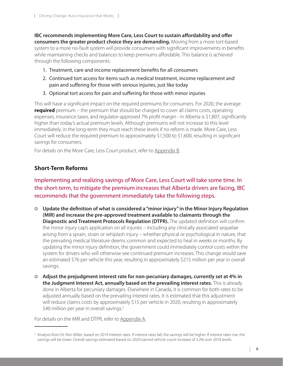**IBC recommends implementing More Care, Less Court to sustain affordability and offer consumers the greater product choice they are demanding.** Moving from a more tort-based system to a more no-fault system will provide consumers with significant improvements in benefits while maintaining checks and balances to keep premiums affordable. This balance is achieved through the following components:

- 1. Treatment, care and income replacement benefits for all consumers
- 2. Continued tort access for items such as medical treatment, income replacement and pain and suffering for those with serious injuries, just like today
- 3. Optional tort access for pain and suffering for those with minor injuries

This will have a significant impact on the required premiums for consumers. For 2020, the average **required** premium – the premium that should be charged to cover all claims costs, operating expenses, insurance taxes, and regulator-approved 7% profit margin - in Alberta is \$1,807, significantly higher than today's actual premium levels. Although premiums will not increase to this level immediately, in the long-term they must reach these levels if no reform is made. More Care, Less Court will reduce the required premium to approximately \$1,500 to \$1,600, resulting in significant savings for consumers.

For details on the More Care, Less Court product, refer to [Appendix B.](#page-11-0)

### **Short-Term Reforms**

Implementing and realizing savings of More Care, Less Court will take some time. In the short-term, to mitigate the premium increases that Alberta drivers are facing, IBC recommends that the government immediately take the following steps.

- **Update the definition of what is considered a "minor injury" in the Minor Injury Regulation (MIR) and increase the pre-approved treatment available to claimants through the Diagnostic and Treatment Protocols Regulation (DTPR).** The updated definition will confirm the minor injury cap's application on all injuries – including any clinically associated sequelae arising from a sprain, strain or whiplash injury – whether physical or psychological in nature, that the prevailing medical literature deems common and expected to heal in weeks or months. By updating the minor injury definition, the government could immediately control costs within the system for drivers who will otherwise see continued premium increases. This change would save an estimated \$76 per vehicle this year, resulting in approximately \$215 million per year in overall savings.
- **Adjust the prejudgment interest rate for non-pecuniary damages, currently set at 4% in the Judgment Interest Act, annually based on the prevailing interest rates.** This is already done in Alberta for pecuniary damages. Elsewhere in Canada, it is common for both rates to be adjusted annually based on the prevailing interest rates. It is estimated that this adjustment will reduce claims costs by approximately \$15 per vehicle in 2020, resulting in approximately \$40 million per year in overall savings.<sup>5</sup>

For details on the MIR and DTPR, refer to [Appendix A.](#page-9-0)

 $^5$  Analysis from Dr. Ron Miller, based on 2019 interest rates. If interest rates fall, the savings will be higher. If interest rates rise, the savings will be lower. Overall savings estimated based on 2020 earned vehicle count increase of 3.2% over 2018 levels.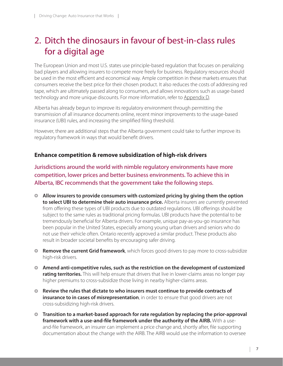## 2. Ditch the dinosaurs in favour of best-in-class rules for a digital age

The European Union and most U.S. states use principle-based regulation that focuses on penalizing bad players and allowing insurers to compete more freely for business. Regulatory resources should be used in the most efficient and economical way. Ample competition in these markets ensures that consumers receive the best price for their chosen product. It also reduces the costs of addressing red tape, which are ultimately passed along to consumers, and allows innovations such as usage-based technology and more unique discounts. For more information, refer to [Appendix D.](#page-16-0)

Alberta has already begun to improve its regulatory environment through permitting the transmission of all insurance documents online, recent minor improvements to the usage-based insurance (UBI) rules, and increasing the simplified filing threshold.

However, there are additional steps that the Alberta government could take to further improve its regulatory framework in ways that would benefit drivers.

#### **Enhance competition & remove subsidization of high-risk drivers**

Jurisdictions around the world with nimble regulatory environments have more competition, lower prices and better business environments. To achieve this in Alberta, IBC recommends that the government take the following steps.

- **Allow insurers to provide consumers with customized pricing by giving them the option to select UBI to determine their auto insurance price.** Alberta insurers are currently prevented from offering these types of UBI products due to outdated regulations. UBI offerings should be subject to the same rules as traditional pricing formulas. UBI products have the potential to be tremendously beneficial for Alberta drivers. For example, unique pay-as-you-go insurance has been popular in the United States, especially among young urban drivers and seniors who do not use their vehicle often. Ontario recently approved a similar product. These products also result in broader societal benefits by encouraging safer driving.
- **<sup>O</sup>** Remove the current Grid framework, which forces good drivers to pay more to cross-subsidize high-risk drivers.
- **Amend anti-competitive rules, such as the restriction on the development of customized rating territories.** This will help ensure that drivers that live in lower-claims areas no longer pay higher premiums to cross-subsidize those living in nearby higher-claims areas.
- **Review the rules that dictate to who insurers must continue to provide contracts of insurance to in cases of misrepresentation**, in order to ensure that good drivers are not cross-subsidizing high-risk drivers.
- **Transition to a market-based approach for rate regulation by replacing the prior-approval framework with a use-and-file framework under the authority of the AIRB.** With a useand-file framework, an insurer can implement a price change and, shortly after, file supporting documentation about the change with the AIRB. The AIRB would use the information to oversee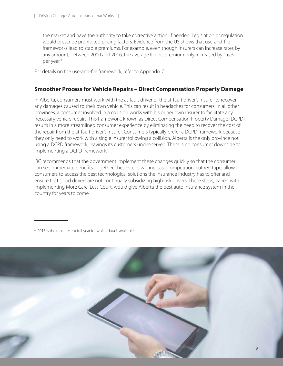the market and have the authority to take corrective action, if needed. Legislation or regulation would prescribe prohibited pricing factors. Evidence from the US shows that use-and-file frameworks lead to stable premiums. For example, even though insurers can increase rates by any amount, between 2000 and 2016, the average Illinois premium only increased by 1.6% per year.<sup>6</sup>

For details on the use-and-file framework, refer to [Appendix C.](#page-14-0)

#### **Smoother Process for Vehicle Repairs – Direct Compensation Property Damage**

In Alberta, consumers must work with the at-fault driver or the at-fault driver's insurer to recover any damages caused to their own vehicle. This can result in headaches for consumers. In all other provinces, a consumer involved in a collision works with his or her own insurer to facilitate any necessary vehicle repairs. This framework, known as Direct Compensation Property Damage (DCPD), results in a more streamlined consumer experience by eliminating the need to recover the cost of the repair from the at-fault driver's insurer. Consumers typically prefer a DCPD framework because they only need to work with a single insurer following a collision. Alberta is the only province not using a DCPD framework, leavings its customers under-served. There is no consumer downside to implementing a DCPD framework.

IBC recommends that the government implement these changes quickly so that the consumer can see immediate benefits. Together, these steps will increase competition, cut red tape, allow consumers to access the best technological solutions the insurance industry has to offer and ensure that good drivers are not continually subsidizing high-risk drivers. These steps, paired with implementing More Care, Less Court, would give Alberta the best auto insurance system in the country for years to come.

<sup>&</sup>lt;sup>6</sup> 2016 is the most recent full-year for which data is available.

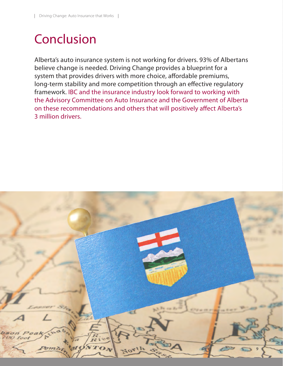## Conclusion

Alberta's auto insurance system is not working for drivers. 93% of Albertans believe change is needed. Driving Change provides a blueprint for a system that provides drivers with more choice, affordable premiums, long-term stability and more competition through an effective regulatory framework. IBC and the insurance industry look forward to working with the Advisory Committee on Auto Insurance and the Government of Alberta on these recommendations and others that will positively affect Alberta's 3 million drivers.

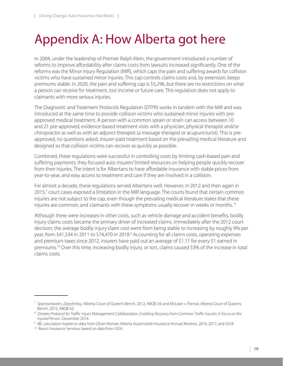## <span id="page-9-0"></span>Appendix A: How Alberta got here

In 2004, under the leadership of Premier Ralph Klein, the government introduced a number of reforms to improve affordability after claims costs from lawsuits increased significantly. One of the reforms was the Minor Injury Regulation (MIR), which caps the pain and suffering awards for collision victims who have sustained minor injuries. This cap controls claims costs and, by extension, keeps premiums stable. In 2020, the pain and suffering cap is \$5,296, but there are no restrictions on what a person can receive for treatment, lost income or future care. This regulation does not apply to claimants with more serious injuries.

The Diagnostic and Treatment Protocols Regulation (DTPR) works in tandem with the MIR and was introduced at the same time to provide collision victims who sustained minor injuries with preapproved medical treatment. A person with a common sprain or strain can access between 10 and 21 pre-approved, evidence-based treatment visits with a physician, physical therapist and/or chiropractor as well as with an adjunct therapist (a massage therapist or acupuncturist). This is preapproved, no questions asked, insurer-paid treatment based on the prevailing medical literature and designed so that collision victims can recover as quickly as possible.

Combined, these regulations were successful in controlling costs by limiting cash-based pain and suffering payments; they focused auto insurers' limited resources on helping people quickly recover from their injuries. The intent is for Albertans to have affordable insurance with stable prices from year-to-year, and easy access to treatment and care if they are involved in a collision.

For almost a decade, these regulations served Albertans well. However, in 2012 and then again in 2015,7 court cases exposed a limitation in the MIR language. The courts found that certain common injuries are not subject to the cap, even though the prevailing medical literature states that these injuries are common, and claimants with these symptoms usually recover in weeks or months. <sup>8</sup>

Although there were increases in other costs, such as vehicle damage and accident benefits, bodily injury claims costs became the primary driver of increased claims. Immediately after the 2012 court decision, the average bodily injury claim cost went from being stable to increasing by roughly 9% per year, from \$41,534 in 2011 to \$74,470 in 2018.<sup>9</sup> Accounting for all claims costs, operating expenses and premium taxes since 2012, insurers have paid out an average of \$1.11 for every \$1 earned in premiums.10 Over this time, increasing bodily injury, or tort, claims caused 53% of the increase in total claims costs.

<sup>7</sup> *Sparrowhawk v. Zapoltinksy*, Alberta Court of Queen's Bench, 2012, ABQB 34; and McLean v. Parmar, Alberta Court of Queen's Bench, 2015, ABQB 62.

<sup>&</sup>lt;sup>8</sup> Ontario Protocol for Traffic Injury Management Collaboration. *Enabling Recovery from Common Traffic Injuries: A Focus on the Injured Person*. December 2014.

<sup>9</sup> IBC calculation based on data from Oliver Wyman Alberta Automobile Insurance Annual Reviews, 2016, 2017, and 2018

<sup>&</sup>lt;sup>10</sup> Baron Insurance Services, based on data from GISA.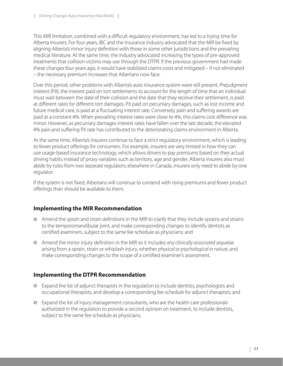This MIR limitation, combined with a difficult regulatory environment, has led to a trying time for Alberta insurers. For four years, IBC and the insurance industry advocated that the MIR be fixed by aligning Alberta's minor injury definition with those in some other jurisdictions and the prevailing medical literature. At the same time, the industry advocated increasing the types of pre-approved treatments that collision victims may use through the DTPR. If the previous government had made these changes four years ago, it would have stabilized claims costs and mitigated – if not eliminated – the necessary premium increases that Albertans now face.

Over this period, other problems with Alberta's auto insurance system were still present. Prejudgment interest (PJI), the interest paid on tort settlements to account for the length of time that an individual must wait between the date of their collision and the date that they receive their settlement, is paid at different rates for different tort damages. PJI paid on pecuniary damages, such as lost income and future medical care, is paid at a fluctuating interest rate. Conversely, pain and suffering awards are paid at a constant 4%. When prevailing interest rates were close to 4%, this claims cost difference was minor. However, as pecuniary damages interest rates have fallen over the last decade, the elevated 4% pain and suffering PJI rate has contributed to the deteriorating claims environment in Alberta.

At the same time, Alberta's insurers continue to face a strict regulatory environment, which is leading to fewer product offerings for consumers. For example, insurers are very limited in how they can use usage-based insurance technology, which allows drivers to pay premiums based on their actual driving habits instead of proxy variables such as territory, age and gender. Alberta insurers also must abide by rules from two separate regulators; elsewhere in Canada, insurers only need to abide by one regulator.

If the system is not fixed, Albertans will continue to contend with rising premiums and fewer product offerings than should be available to them.

#### **Implementing the MIR Recommendation**

- Amend the *sprain* and *strain* definitions in the MIR to clarify that they include sprains and strains to the temporomandibular joint, and make corresponding changes to identify dentists as certified examiners, subject to the same fee schedule as physicians; and
- Amend the minor injury definition in the MIR so it includes *any clinically associated sequelae* arising from a sprain, strain or whiplash injury, whether *physical or psychological in nature*, and make corresponding changes to the scope of a certified examiner's assessment.

#### **Implementing the DTPR Recommendation**

- Expand the list of adjunct therapists in the regulation to include dentists, psychologists and occupational therapists, and develop a corresponding fee schedule for adjunct therapists; and
- Expand the list of injury management consultants, who are the health care professionals authorized in the regulation to provide a second opinion on treatment, to include dentists, subject to the same fee schedule as physicians.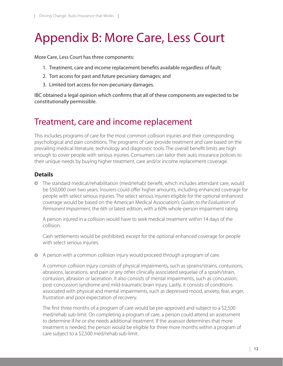## <span id="page-11-0"></span>Appendix B: More Care, Less Court

More Care, Less Court has three components:

- 1. Treatment, care and income replacement benefits available regardless of fault;
- 2. Tort access for past and future pecuniary damages; and
- 3. Limited tort access for non-pecuniary damages.

IBC obtained a legal opinion which confirms that all of these components are expected to be constitutionally permissible.

### Treatment, care and income replacement

This includes programs of care for the most common collision injuries and their corresponding psychological and pain conditions. The programs of care provide treatment and care based on the prevailing medical literature, technology and diagnostic tools. The overall benefit limits are high enough to cover people with serious injuries. Consumers can tailor their auto insurance policies to their unique needs by buying higher treatment, care and/or income replacement coverage.

#### **Details**

The standard medical/rehabilitation (med/rehab) benefit, which includes attendant care, would be \$50,000 over two years. Insurers could offer higher amounts, including enhanced coverage for people with select serious injuries. The select serious injuries eligible for the optional enhanced coverage would be based on the American Medical Association's *Guides to the Evaluation of Permanent Impairment*, the 6th or latest edition, with a 60% whole-person impairment rating.

 A person injured in a collision would have to seek medical treatment within 14 days of the collision.

 Cash settlements would be prohibited, except for the optional enhanced coverage for people with select serious injuries.

A person with a common collision injury would proceed through a program of care.

 A common collision injury consists of physical impairments, such as sprains/strains, contusions, abrasions, lacerations, and pain or any other clinically associated sequelae of a sprain/strain, contusion, abrasion or laceration. It also consists of mental impairments, such as concussion, post-concussion syndrome and mild-traumatic brain injury. Lastly, it consists of conditions associated with physical and mental impairments, such as depressed mood, anxiety, fear, anger, frustration and poor expectation of recovery.

 The first three months of a program of care would be pre-approved and subject to a \$2,500 med/rehab sub-limit. On completing a program of care, a person could attend an assessment to determine if he or she needs additional treatment. If the assessor determines that more treatment is needed, the person would be eligible for three more months within a program of care subject to a \$2,500 med/rehab sub-limit.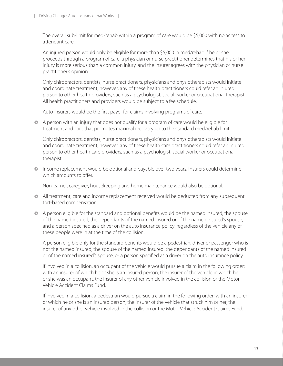The overall sub-limit for med/rehab within a program of care would be \$5,000 with no access to attendant care.

 An injured person would only be eligible for more than \$5,000 in med/rehab if he or she proceeds through a program of care, a physician or nurse practitioner determines that his or her injury is more serious than a common injury, and the insurer agrees with the physician or nurse practitioner's opinion.

 Only chiropractors, dentists, nurse practitioners, physicians and physiotherapists would initiate and coordinate treatment; however, any of these health practitioners could refer an injured person to other health providers, such as a psychologist, social worker or occupational therapist. All health practitioners and providers would be subject to a fee schedule.

Auto insurers would be the first payer for claims involving programs of care.

 A person with an injury that does not qualify for a program of care would be eligible for treatment and care that promotes maximal recovery up to the standard med/rehab limit.

 Only chiropractors, dentists, nurse practitioners, physicians and physiotherapists would initiate and coordinate treatment; however, any of these health care practitioners could refer an injured person to other health care providers, such as a psychologist, social worker or occupational therapist.

**O** Income replacement would be optional and payable over two years. Insurers could determine which amounts to offer.

Non-earner, caregiver, housekeeping and home maintenance would also be optional.

- All treatment, care and income replacement received would be deducted from any subsequent tort-based compensation.
- A person eligible for the standard and optional benefits would be the named insured, the spouse of the named insured, the dependants of the named insured or of the named insured's spouse, and a person specified as a driver on the auto insurance policy, regardless of the vehicle any of these people were in at the time of the collision.

 A person eligible only for the standard benefits would be a pedestrian, driver or passenger who is not the named insured, the spouse of the named insured, the dependants of the named insured or of the named insured's spouse, or a person specified as a driver on the auto insurance policy.

 If involved in a collision, an occupant of the vehicle would pursue a claim in the following order: with an insurer of which he or she is an insured person, the insurer of the vehicle in which he or she was an occupant, the insurer of any other vehicle involved in the collision or the Motor Vehicle Accident Claims Fund.

 If involved in a collision, a pedestrian would pursue a claim in the following order: with an insurer of which he or she is an insured person, the insurer of the vehicle that struck him or her, the insurer of any other vehicle involved in the collision or the Motor Vehicle Accident Claims Fund.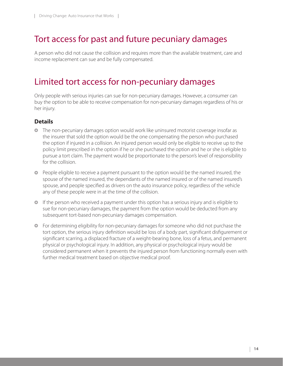## Tort access for past and future pecuniary damages

A person who did not cause the collision and requires more than the available treatment, care and income replacement can sue and be fully compensated.

## Limited tort access for non-pecuniary damages

Only people with serious injuries can sue for non-pecuniary damages. However, a consumer can buy the option to be able to receive compensation for non-pecuniary damages regardless of his or her injury.

### **Details**

- The non-pecuniary damages option would work like uninsured motorist coverage insofar as the insurer that sold the option would be the one compensating the person who purchased the option if injured in a collision. An injured person would only be eligible to receive up to the policy limit prescribed in the option if he or she purchased the option and he or she is eligible to pursue a tort claim. The payment would be proportionate to the person's level of responsibility for the collision.
- **People eligible to receive a payment pursuant to the option would be the named insured, the** spouse of the named insured, the dependants of the named insured or of the named insured's spouse, and people specified as drivers on the auto insurance policy, regardless of the vehicle any of these people were in at the time of the collision.
- If the person who received a payment under this option has a serious injury and is eligible to sue for non-pecuniary damages, the payment from the option would be deducted from any subsequent tort-based non-pecuniary damages compensation.
- For determining eligibility for non-pecuniary damages for someone who did not purchase the tort option, the serious injury definition would be loss of a body part, significant disfigurement or significant scarring, a displaced fracture of a weight-bearing bone, loss of a fetus, and permanent physical or psychological injury. In addition, any physical or psychological injury would be considered permanent when it prevents the injured person from functioning normally even with further medical treatment based on objective medical proof.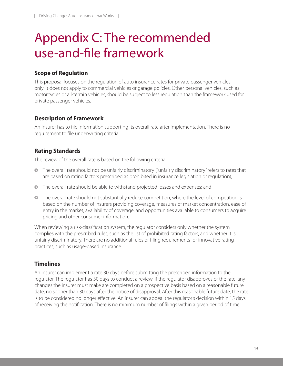## <span id="page-14-0"></span>Appendix C: The recommended use-and-file framework

### **Scope of Regulation**

This proposal focuses on the regulation of auto insurance rates for private passenger vehicles only. It does not apply to commercial vehicles or garage policies. Other personal vehicles, such as motorcycles or all-terrain vehicles, should be subject to less regulation than the framework used for private passenger vehicles.

### **Description of Framework**

An insurer has to file information supporting its overall rate after implementation. There is no requirement to file underwriting criteria.

### **Rating Standards**

The review of the overall rate is based on the following criteria:

- The overall rate should not be unfairly discriminatory ("unfairly discriminatory" refers to rates that are based on rating factors prescribed as prohibited in insurance legislation or regulation);
- **O** The overall rate should be able to withstand projected losses and expenses; and
- **•** The overall rate should not substantially reduce competition, where the level of competition is based on the number of insurers providing coverage, measures of market concentration, ease of entry in the market, availability of coverage, and opportunities available to consumers to acquire pricing and other consumer information.

When reviewing a risk-classification system, the regulator considers only whether the system complies with the prescribed rules, such as the list of prohibited rating factors, and whether it is unfairly discriminatory. There are no additional rules or filing requirements for innovative rating practices, such as usage-based insurance.

### **Timelines**

An insurer can implement a rate 30 days before submitting the prescribed information to the regulator. The regulator has 30 days to conduct a review. If the regulator disapproves of the rate, any changes the insurer must make are completed on a prospective basis based on a reasonable future date, no sooner than 30 days after the notice of disapproval. After this reasonable future date, the rate is to be considered no longer effective. An insurer can appeal the regulator's decision within 15 days of receiving the notification. There is no minimum number of filings within a given period of time.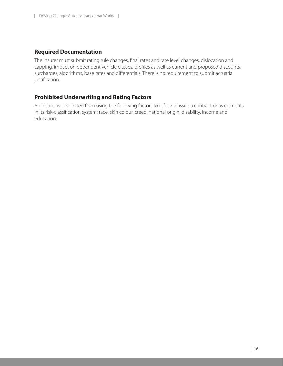#### **Required Documentation**

The insurer must submit rating rule changes, final rates and rate level changes, dislocation and capping, impact on dependent vehicle classes, profiles as well as current and proposed discounts, surcharges, algorithms, base rates and differentials. There is no requirement to submit actuarial justification.

### **Prohibited Underwriting and Rating Factors**

An insurer is prohibited from using the following factors to refuse to issue a contract or as elements in its risk-classification system: race, skin colour, creed, national origin, disability, income and education.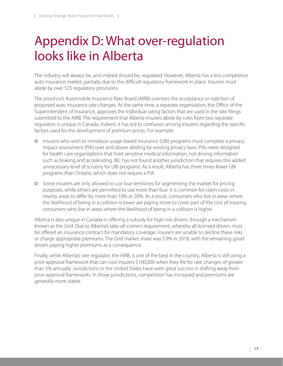## <span id="page-16-0"></span>Appendix D: What over-regulation looks like in Alberta

The industry will always be, and indeed should be, regulated. However, Alberta has a less competitive auto insurance market, partially due to the difficult regulatory framework in place. Insurers must abide by over 525 regulatory provisions.

The province's Automobile Insurance Rate Board (AIRB) oversees the acceptance or rejection of proposed auto insurance rate changes. At the same time, a separate organization, the Office of the Superintendent of Insurance, approves the individual rating factors that are used in the rate filings submitted to the AIRB. The requirement that Alberta insurers abide by rules from two separate regulators is unique in Canada. Indeed, it has led to confusion among insurers regarding the specific factors used for the development of premium prices. For example:

- Insurers who wish to introduce usage-based insurance (UBI) programs must complete a privacy impact assessment (PIA) over and above abiding by existing privacy laws. PIAs were designed for health care organizations that hold sensitive medical information, not driving information such as braking and accelerating. IBC has not found another jurisdiction that requires this added unnecessary level of scrutiny for UBI programs. As a result, Alberta has three times fewer UBI programs than Ontario, which does not require a PIA.
- Some insurers are only allowed to use four territories for segmenting the market for pricing purposes, while others are permitted to use more than four. It is common for claim costs in nearby areas to differ by more than 10% or 20%. As a result, consumers who live in areas where the likelihood of being in a collision is lower are paying more to cover part of the cost of insuring consumers who live in areas where the likelihood of being in a collision is higher.

Alberta is also unique in Canada in offering a subsidy for high-risk drivers, through a mechanism known as the Grid. Due to Alberta's take-all-comers requirement, whereby all licensed drivers must be offered an insurance contract for mandatory coverage, insurers are unable to decline these risks or charge appropriate premiums. The Grid market share was 5.9% in 2018, with the remaining good drivers paying higher premiums as a consequence.

Finally, while Alberta's rate regulator, the AIRB, is one of the best in the country, Alberta is still using a prior-approval framework that can cost insurers \$100,000 when they file for rate changes of greater than 5% annually. Jurisdictions in the United States have seen great success in shifting away from prior-approval frameworks. In those jurisdictions, competition has increased and premiums are generally more stable.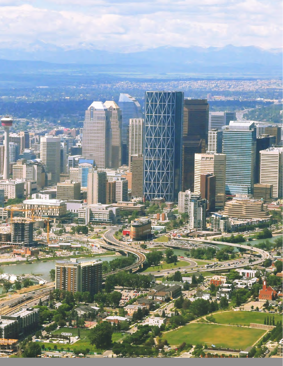